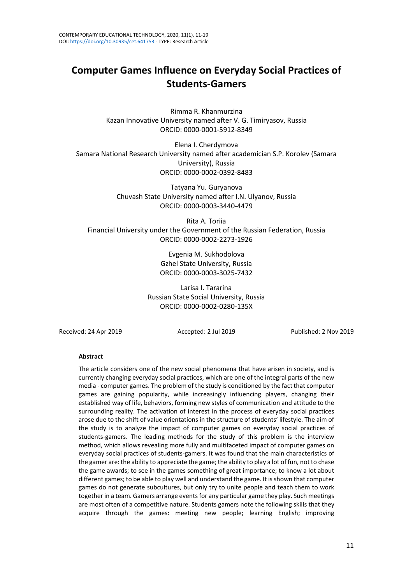# **Computer Games Influence on Everyday Social Practices of Students-Gamers**

Rimma R. Khanmurzina Kazan Innovative University named after V. G. Timiryasov, Russia ORCID: 0000-0001-5912-8349

Elena I. Cherdymova Samara National Research University named after academician S.P. Korolev (Samara University), Russia ORCID: 0000-0002-0392-8483

> Tatyana Yu. Guryanova Chuvash State University named after I.N. Ulyanov, Russia ORCID: 0000-0003-3440-4479

Rita A. Toriia Financial University under the Government of the Russian Federation, Russia ORCID: 0000-0002-2273-1926

> Evgenia M. Sukhodolova Gzhel State University, Russia ORCID: 0000-0003-3025-7432

Larisa I. Tararina Russian State Social University, Russia ORCID: 0000-0002-0280-135X

Received: 24 Apr 2019 Accepted: 2 Jul 2019 Published: 2 Nov 2019

#### **Abstract**

The article considers one of the new social phenomena that have arisen in society, and is currently changing everyday social practices, which are one of the integral parts of the new media - computer games. The problem of the study is conditioned by the fact that computer games are gaining popularity, while increasingly influencing players, changing their established way of life, behaviors, forming new styles of communication and attitude to the surrounding reality. The activation of interest in the process of everyday social practices arose due to the shift of value orientations in the structure of students' lifestyle. The aim of the study is to analyze the impact of computer games on everyday social practices of students-gamers. The leading methods for the study of this problem is the interview method, which allows revealing more fully and multifaceted impact of computer games on everyday social practices of students-gamers. It was found that the main characteristics of the gamer are: the ability to appreciate the game; the ability to play a lot of fun, not to chase the game awards; to see in the games something of great importance; to know a lot about different games; to be able to play well and understand the game. It isshown that computer games do not generate subcultures, but only try to unite people and teach them to work together in a team. Gamers arrange events for any particular game they play. Such meetings are most often of a competitive nature. Students gamers note the following skills that they acquire through the games: meeting new people; learning English; improving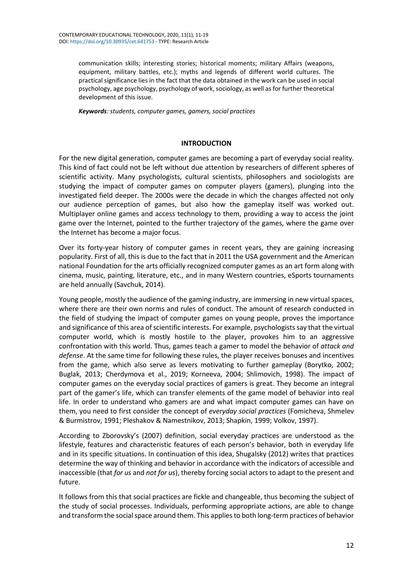communication skills; interesting stories; historical moments; military Affairs (weapons, equipment, military battles, etc.); myths and legends of different world cultures. The practical significance lies in the fact that the data obtained in the work can be used in social psychology, age psychology, psychology of work, sociology, as well as for further theoretical development of this issue.

*Keywords: students, computer games, gamers, social practices*

#### **INTRODUCTION**

For the new digital generation, computer games are becoming a part of everyday social reality. This kind of fact could not be left without due attention by researchers of different spheres of scientific activity. Many psychologists, cultural scientists, philosophers and sociologists are studying the impact of computer games on computer players (gamers), plunging into the investigated field deeper. The 2000s were the decade in which the changes affected not only our audience perception of games, but also how the gameplay itself was worked out. Multiplayer online games and access technology to them, providing a way to access the joint game over the Internet, pointed to the further trajectory of the games, where the game over the Internet has become a major focus.

Over its forty-year history of computer games in recent years, they are gaining increasing popularity. First of all, this is due to the fact that in 2011 the USA government and the American national Foundation for the arts officially recognized computer games as an art form along with cinema, music, painting, literature, etc., and in many Western countries, eSports tournaments are held annually (Savchuk, 2014).

Young people, mostly the audience of the gaming industry, are immersing in new virtual spaces, where there are their own norms and rules of conduct. The amount of research conducted in the field of studying the impact of computer games on young people, proves the importance and significance of this area of scientific interests. For example, psychologists say that the virtual computer world, which is mostly hostile to the player, provokes him to an aggressive confrontation with this world. Thus, games teach a gamer to model the behavior of *attack and defense*. At the same time for following these rules, the player receives bonuses and incentives from the game, which also serve as levers motivating to further gameplay (Borytko, 2002; Buglak, 2013; Cherdymova et al., 2019; Korneeva, 2004; Shlimovich, 1998). The impact of computer games on the everyday social practices of gamers is great. They become an integral part of the gamer's life, which can transfer elements of the game model of behavior into real life. In order to understand who gamers are and what impact computer games can have on them, you need to first consider the concept of *everyday social practices* (Fomicheva, Shmelev & Burmistrov, 1991; Pleshakov & Namestnikov, 2013; Shapkin, 1999; Volkov, 1997).

According to Zborovsky's (2007) definition, social everyday practices are understood as the lifestyle, features and characteristic features of each person's behavior, both in everyday life and in its specific situations. In continuation of this idea, Shugalsky (2012) writes that practices determine the way of thinking and behavior in accordance with the indicators of accessible and inaccessible (that *for us* and *not for us*), thereby forcing social actors to adapt to the present and future.

It follows from this that social practices are fickle and changeable, thus becoming the subject of the study of social processes. Individuals, performing appropriate actions, are able to change and transform the social space around them. This applies to both long-term practices of behavior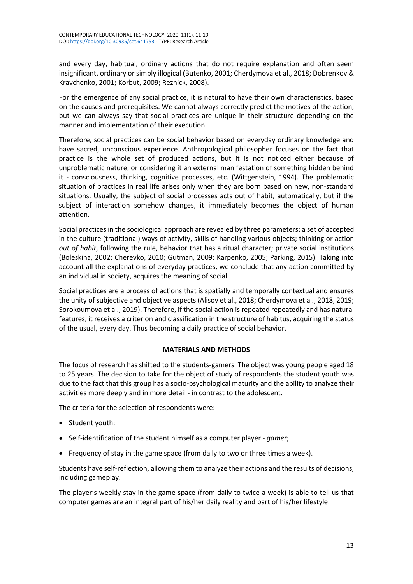and every day, habitual, ordinary actions that do not require explanation and often seem insignificant, ordinary or simply illogical (Butenko, 2001; Cherdymova et al., 2018; Dobrenkov & Kravchenko, 2001; Korbut, 2009; Reznick, 2008).

For the emergence of any social practice, it is natural to have their own characteristics, based on the causes and prerequisites. We cannot always correctly predict the motives of the action, but we can always say that social practices are unique in their structure depending on the manner and implementation of their execution.

Therefore, social practices can be social behavior based on everyday ordinary knowledge and have sacred, unconscious experience. Anthropological philosopher focuses on the fact that practice is the whole set of produced actions, but it is not noticed either because of unproblematic nature, or considering it an external manifestation of something hidden behind it - consciousness, thinking, cognitive processes, etc. (Wittgenstein, 1994). The problematic situation of practices in real life arises only when they are born based on new, non-standard situations. Usually, the subject of social processes acts out of habit, automatically, but if the subject of interaction somehow changes, it immediately becomes the object of human attention.

Social practices in the sociological approach are revealed by three parameters: a set of accepted in the culture (traditional) ways of activity, skills of handling various objects; thinking or action *out of habit*, following the rule, behavior that has a ritual character; private social institutions (Boleskina, 2002; Cherevko, 2010; Gutman, 2009; Karpenko, 2005; Parking, 2015). Taking into account all the explanations of everyday practices, we conclude that any action committed by an individual in society, acquires the meaning of social.

Social practices are a process of actions that is spatially and temporally contextual and ensures the unity of subjective and objective aspects (Alisov et al., 2018; Cherdymova et al., 2018, 2019; Sorokoumova et al., 2019). Therefore, if the social action is repeated repeatedly and has natural features, it receives a criterion and classification in the structure of habitus, acquiring the status of the usual, every day. Thus becoming a daily practice of social behavior.

### **MATERIALS AND METHODS**

The focus of research has shifted to the students-gamers. The object was young people aged 18 to 25 years. The decision to take for the object of study of respondents the student youth was due to the fact that this group has a socio-psychological maturity and the ability to analyze their activities more deeply and in more detail - in contrast to the adolescent.

The criteria for the selection of respondents were:

- Student youth;
- Self-identification of the student himself as a computer player *gamer*;
- Frequency of stay in the game space (from daily to two or three times a week).

Students have self-reflection, allowing them to analyze their actions and the results of decisions, including gameplay.

The player's weekly stay in the game space (from daily to twice a week) is able to tell us that computer games are an integral part of his/her daily reality and part of his/her lifestyle.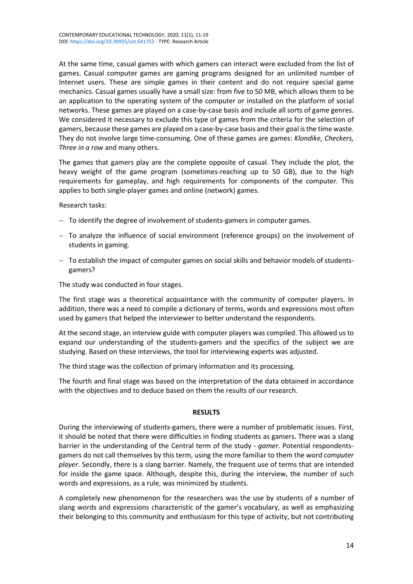At the same time, casual games with which gamers can interact were excluded from the list of games. Casual computer games are gaming programs designed for an unlimited number of Internet users. These are simple games in their content and do not require special game mechanics. Casual games usually have a small size: from five to 50 MB, which allows them to be an application to the operating system of the computer or installed on the platform of social networks. These games are played on a case-by-case basis and include all sorts of game genres. We considered it necessary to exclude this type of games from the criteria for the selection of gamers, because these games are played on a case-by-case basis and their goal isthe time waste. They do not involve large time-consuming. One of these games are games: *Klondike, Checkers, Three in a row* and many others.

The games that gamers play are the complete opposite of casual. They include the plot, the heavy weight of the game program (sometimes-reaching up to 50 GB), due to the high requirements for gameplay, and high requirements for components of the computer. This applies to both single-player games and online (network) games.

Research tasks:

- − To identify the degree of involvement of students-gamers in computer games.
- − To analyze the influence of social environment (reference groups) on the involvement of students in gaming.
- − To establish the impact of computer games on social skills and behavior models of studentsgamers?

The study was conducted in four stages.

The first stage was a theoretical acquaintance with the community of computer players. In addition, there was a need to compile a dictionary of terms, words and expressions most often used by gamers that helped the interviewer to better understand the respondents.

At the second stage, an interview guide with computer players was compiled. This allowed us to expand our understanding of the students-gamers and the specifics of the subject we are studying. Based on these interviews, the tool for interviewing experts was adjusted.

The third stage was the collection of primary information and its processing.

The fourth and final stage was based on the interpretation of the data obtained in accordance with the objectives and to deduce based on them the results of our research.

### **RESULTS**

During the interviewing of students-gamers, there were a number of problematic issues. First, it should be noted that there were difficulties in finding students as gamers. There was a slang barrier in the understanding of the Central term of the study - *gamer*. Potential respondentsgamers do not call themselves by this term, using the more familiar to them the word *computer player*. Secondly, there is a slang barrier. Namely, the frequent use of terms that are intended for inside the game space. Although, despite this, during the interview, the number of such words and expressions, as a rule, was minimized by students.

A completely new phenomenon for the researchers was the use by students of a number of slang words and expressions characteristic of the gamer's vocabulary, as well as emphasizing their belonging to this community and enthusiasm for this type of activity, but not contributing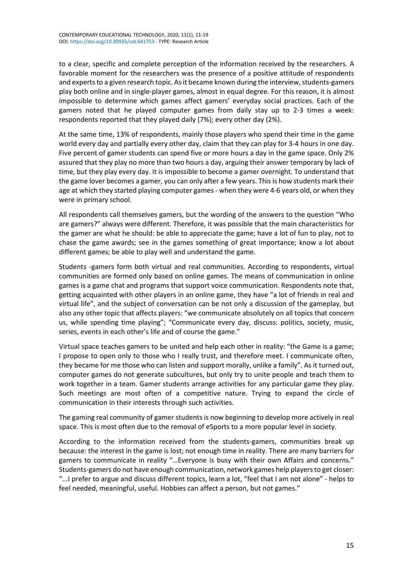to a clear, specific and complete perception of the information received by the researchers. A favorable moment for the researchers was the presence of a positive attitude of respondents and experts to a given research topic. As it became known during the interview, students-gamers play both online and in single-player games, almost in equal degree. For this reason, it is almost impossible to determine which games affect gamers' everyday social practices. Each of the gamers noted that he played computer games from daily stay up to 2-3 times a week: respondents reported that they played daily (7%); every other day (2%).

At the same time, 13% of respondents, mainly those players who spend their time in the game world every day and partially every other day, claim that they can play for 3-4 hours in one day. Five percent of gamer students can spend five or more hours a day in the game space. Only 2% assured that they play no more than two hours a day, arguing their answer temporary by lack of time, but they play every day. It is impossible to become a gamer overnight. To understand that the game lover becomes a gamer, you can only after a few years. This is how students mark their age at which they started playing computer games - when they were 4-6 years old, or when they were in primary school.

All respondents call themselves gamers, but the wording of the answers to the question "Who are gamers?" always were different. Therefore, it was possible that the main characteristics for the gamer are what he should: be able to appreciate the game; have a lot of fun to play, not to chase the game awards; see in the games something of great importance; know a lot about different games; be able to play well and understand the game.

Students -gamers form both virtual and real communities. According to respondents, virtual communities are formed only based on online games. The means of communication in online games is a game chat and programs that support voice communication. Respondents note that, getting acquainted with other players in an online game, they have "a lot of friends in real and virtual life", and the subject of conversation can be not only a discussion of the gameplay, but also any other topic that affects players: "we communicate absolutely on all topics that concern us, while spending time playing"; "Communicate every day, discuss: politics, society, music, series, events in each other's life and of course the game."

Virtual space teaches gamers to be united and help each other in reality: "the Game is a game; I propose to open only to those who I really trust, and therefore meet. I communicate often, they became for me those who can listen and support morally, unlike a family". As it turned out, computer games do not generate subcultures, but only try to unite people and teach them to work together in a team. Gamer students arrange activities for any particular game they play. Such meetings are most often of a competitive nature. Trying to expand the circle of communication in their interests through such activities.

The gaming real community of gamer students is now beginning to develop more actively in real space. This is most often due to the removal of eSports to a more popular level in society.

According to the information received from the students-gamers, communities break up because: the interest in the game is lost; not enough time in reality. There are many barriers for gamers to communicate in reality "…Everyone is busy with their own Affairs and concerns." Students-gamers do not have enough communication, network games help players to get closer: "...I prefer to argue and discuss different topics, learn a lot, "feel that I am not alone" - helps to feel needed, meaningful, useful. Hobbies can affect a person, but not games."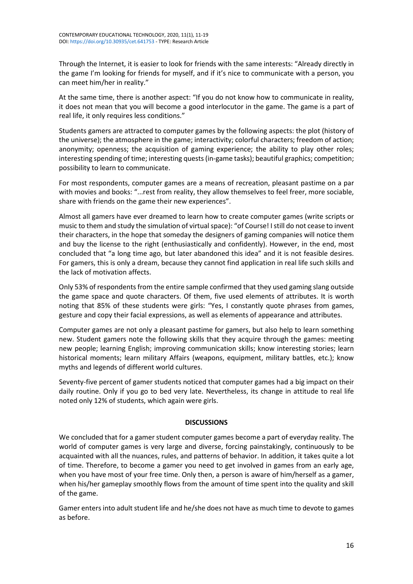Through the Internet, it is easier to look for friends with the same interests: "Already directly in the game I'm looking for friends for myself, and if it's nice to communicate with a person, you can meet him/her in reality."

At the same time, there is another aspect: "If you do not know how to communicate in reality, it does not mean that you will become a good interlocutor in the game. The game is a part of real life, it only requires less conditions."

Students gamers are attracted to computer games by the following aspects: the plot (history of the universe); the atmosphere in the game; interactivity; colorful characters; freedom of action; anonymity; openness; the acquisition of gaming experience; the ability to play other roles; interesting spending of time; interesting quests(in-game tasks); beautiful graphics; competition; possibility to learn to communicate.

For most respondents, computer games are a means of recreation, pleasant pastime on a par with movies and books: "...rest from reality, they allow themselves to feel freer, more sociable, share with friends on the game their new experiences".

Almost all gamers have ever dreamed to learn how to create computer games (write scripts or music to them and study the simulation of virtual space): "of Course! I still do not cease to invent their characters, in the hope that someday the designers of gaming companies will notice them and buy the license to the right (enthusiastically and confidently). However, in the end, most concluded that "a long time ago, but later abandoned this idea" and it is not feasible desires. For gamers, this is only a dream, because they cannot find application in real life such skills and the lack of motivation affects.

Only 53% of respondents from the entire sample confirmed that they used gaming slang outside the game space and quote characters. Of them, five used elements of attributes. It is worth noting that 85% of these students were girls: "Yes, I constantly quote phrases from games, gesture and copy their facial expressions, as well as elements of appearance and attributes.

Computer games are not only a pleasant pastime for gamers, but also help to learn something new. Student gamers note the following skills that they acquire through the games: meeting new people; learning English; improving communication skills; know interesting stories; learn historical moments; learn military Affairs (weapons, equipment, military battles, etc.); know myths and legends of different world cultures.

Seventy-five percent of gamer students noticed that computer games had a big impact on their daily routine. Only if you go to bed very late. Nevertheless, its change in attitude to real life noted only 12% of students, which again were girls.

## **DISCUSSIONS**

We concluded that for a gamer student computer games become a part of everyday reality. The world of computer games is very large and diverse, forcing painstakingly, continuously to be acquainted with all the nuances, rules, and patterns of behavior. In addition, it takes quite a lot of time. Therefore, to become a gamer you need to get involved in games from an early age, when you have most of your free time. Only then, a person is aware of him/herself as a gamer, when his/her gameplay smoothly flows from the amount of time spent into the quality and skill of the game.

Gamer enters into adult student life and he/she does not have as much time to devote to games as before.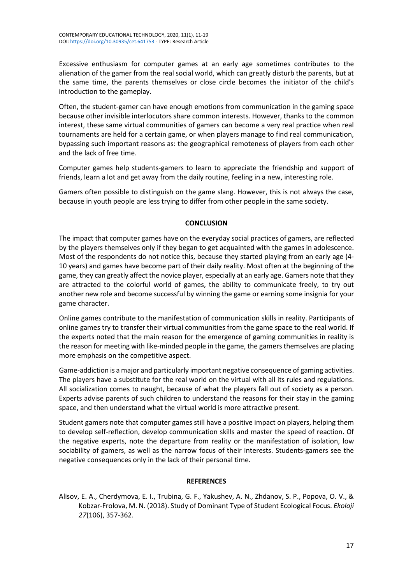Excessive enthusiasm for computer games at an early age sometimes contributes to the alienation of the gamer from the real social world, which can greatly disturb the parents, but at the same time, the parents themselves or close circle becomes the initiator of the child's introduction to the gameplay.

Often, the student-gamer can have enough emotions from communication in the gaming space because other invisible interlocutors share common interests. However, thanks to the common interest, these same virtual communities of gamers can become a very real practice when real tournaments are held for a certain game, or when players manage to find real communication, bypassing such important reasons as: the geographical remoteness of players from each other and the lack of free time.

Computer games help students-gamers to learn to appreciate the friendship and support of friends, learn a lot and get away from the daily routine, feeling in a new, interesting role.

Gamers often possible to distinguish on the game slang. However, this is not always the case, because in youth people are less trying to differ from other people in the same society.

### **CONCLUSION**

The impact that computer games have on the everyday social practices of gamers, are reflected by the players themselves only if they began to get acquainted with the games in adolescence. Most of the respondents do not notice this, because they started playing from an early age (4- 10 years) and games have become part of their daily reality. Most often at the beginning of the game, they can greatly affect the novice player, especially at an early age. Gamers note that they are attracted to the colorful world of games, the ability to communicate freely, to try out another new role and become successful by winning the game or earning some insignia for your game character.

Online games contribute to the manifestation of communication skills in reality. Participants of online games try to transfer their virtual communities from the game space to the real world. If the experts noted that the main reason for the emergence of gaming communities in reality is the reason for meeting with like-minded people in the game, the gamers themselves are placing more emphasis on the competitive aspect.

Game-addiction is a major and particularly important negative consequence of gaming activities. The players have a substitute for the real world on the virtual with all its rules and regulations. All socialization comes to naught, because of what the players fall out of society as a person. Experts advise parents of such children to understand the reasons for their stay in the gaming space, and then understand what the virtual world is more attractive present.

Student gamers note that computer games still have a positive impact on players, helping them to develop self-reflection, develop communication skills and master the speed of reaction. Of the negative experts, note the departure from reality or the manifestation of isolation, low sociability of gamers, as well as the narrow focus of their interests. Students-gamers see the negative consequences only in the lack of their personal time.

### **REFERENCES**

Alisov, E. A., Cherdymova, E. I., Trubina, G. F., Yakushev, A. N., Zhdanov, S. P., Popova, O. V., & Kobzar-Frolova, M. N. (2018). Study of Dominant Type of Student Ecological Focus. *Ekoloji 27*(106), 357-362.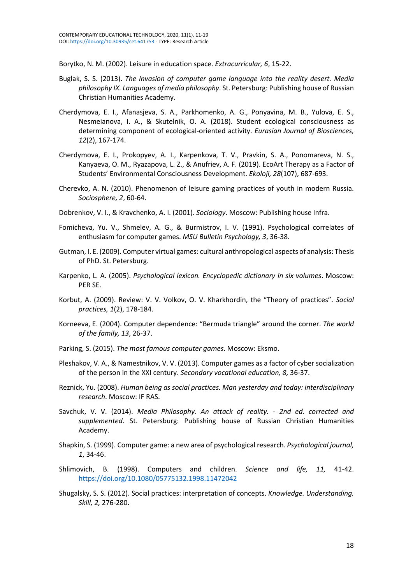Borytko, N. M. (2002). Leisure in education space. *Extracurricular, 6*, 15-22.

- Buglak, S. S. (2013). *The Invasion of computer game language into the reality desert. Media philosophy IX. Languages of media philosophy*. St. Petersburg: Publishing house of Russian Christian Humanities Academy.
- Cherdymova, E. I., Afanasjeva, S. A., Parkhomenko, A. G., Ponyavina, M. B., Yulova, E. S., Nesmeianova, I. A., & Skutelnik, O. A. (2018). Student ecological consciousness as determining component of ecological-oriented activity. *Eurasian Journal of Biosciences, 12*(2), 167-174.
- Cherdymova, E. I., Prokopyev, A. I., Karpenkova, T. V., Pravkin, S. A., Ponomareva, N. S., Kanyaeva, O. M., Ryazapova, L. Z., & Anufriev, A. F. (2019). EcoArt Therapy as a Factor of Students' Environmental Consciousness Development. *Ekoloji, 28*(107), 687-693.
- Cherevko, A. N. (2010). Phenomenon of leisure gaming practices of youth in modern Russia. *Sociosphere, 2*, 60-64.
- Dobrenkov, V. I., & Kravchenko, A. I. (2001). *Sociology*. Moscow: Publishing house Infra.
- Fomicheva, Yu. V., Shmelev, A. G., & Burmistrov, I. V. (1991). Psychological correlates of enthusiasm for computer games. *MSU Bulletin Psychology, 3*, 36-38.
- Gutman, I. E. (2009). Computer virtual games: cultural anthropological aspects of analysis: Thesis of PhD. St. Petersburg.
- Karpenko, L. A. (2005). *Psychological lexicon. Encyclopedic dictionary in six volumes*. Moscow: PER SE.
- Korbut, A. (2009). Review: V. V. Volkov, O. V. Kharkhordin, the "Theory of practices". *Social practices, 1*(2), 178-184.
- Korneeva, E. (2004). Computer dependence: "Bermuda triangle" around the corner. *The world of the family, 13*, 26-37.
- Parking, S. (2015). *The most famous computer games*. Moscow: Eksmo.
- Pleshakov, V. A., & Namestnikov, V. V. (2013). Computer games as a factor of cyber socialization of the person in the XXI century. *Secondary vocational education, 8,* 36-37.
- Reznick, Yu. (2008). *Human being as social practices. Man yesterday and today: interdisciplinary research*. Moscow: IF RAS.
- Savchuk, V. V. (2014). *Media Philosophy. An attack of reality. - 2nd ed. corrected and supplemented*. St. Petersburg: Publishing house of Russian Christian Humanities Academy.
- Shapkin, S. (1999). Computer game: a new area of psychological research. *Psychological journal, 1*, 34-46.
- Shlimovich, B. (1998). Computers and children. *Science and life, 11,* 41-42. <https://doi.org/10.1080/05775132.1998.11472042>
- Shugalsky, S. S. (2012). Social practices: interpretation of concepts. *Knowledge. Understanding. Skill, 2,* 276-280.